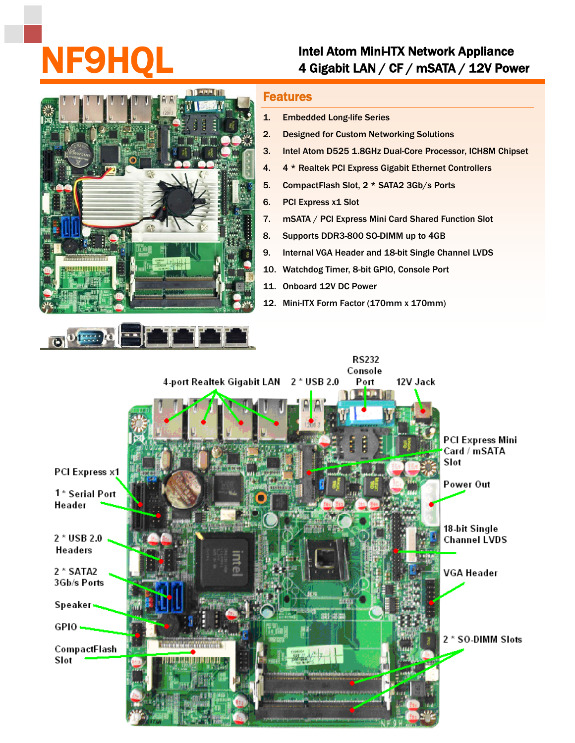## Intel Atom Mini-ITX Network Appliance<br>4 Gigabit LAN / CF / mSATA / 12V Power



## Features

- 1. Embedded Long-life Series
- 2. Designed for Custom Networking Solutions
- 3. Intel Atom D525 1.8GHz Dual-Core Processor, ICH8M Chipset
- 4. 4 \* Realtek PCI Express Gigabit Ethernet Controllers
- 5. CompactFlash Slot, 2 \* SATA2 3Gb/s Ports
- 6. PCI Express x1 Slot
- 7. mSATA / PCI Express Mini Card Shared Function Slot
- 8. Supports DDR3-800 SO-DIMM up to 4GB
- 9. Internal VGA Header and 18-bit Single Channel LVDS
- 10. Watchdog Timer, 8-bit GPIO, Console Port
- 11. Onboard 12V DC Power
- 12. Mini-ITX Form Factor (170mm x 170mm)